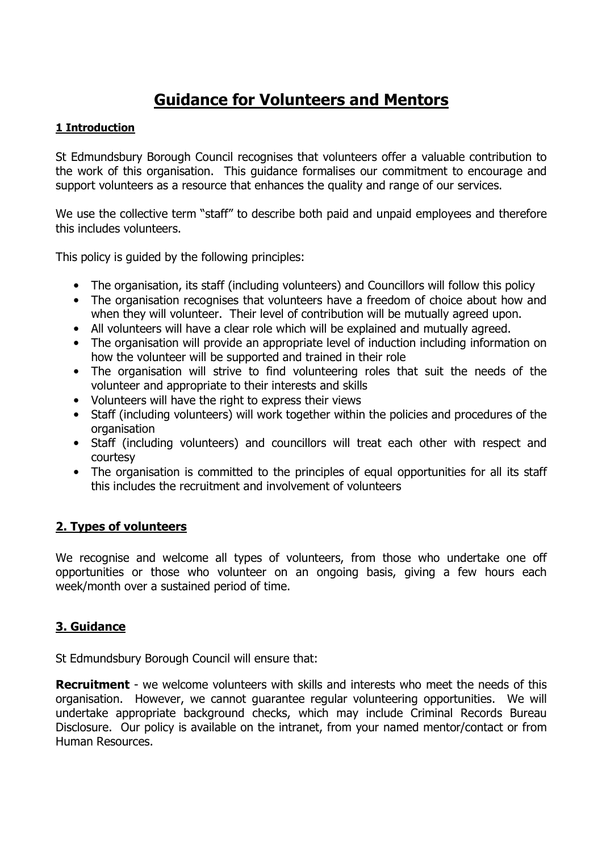# Guidance for Volunteers and Mentors

#### 1 Introduction

St Edmundsbury Borough Council recognises that volunteers offer a valuable contribution to the work of this organisation. This guidance formalises our commitment to encourage and support volunteers as a resource that enhances the quality and range of our services.

We use the collective term "staff" to describe both paid and unpaid employees and therefore this includes volunteers.

This policy is guided by the following principles:

- The organisation, its staff (including volunteers) and Councillors will follow this policy
- The organisation recognises that volunteers have a freedom of choice about how and when they will volunteer. Their level of contribution will be mutually agreed upon.
- All volunteers will have a clear role which will be explained and mutually agreed.
- The organisation will provide an appropriate level of induction including information on how the volunteer will be supported and trained in their role
- The organisation will strive to find volunteering roles that suit the needs of the volunteer and appropriate to their interests and skills
- Volunteers will have the right to express their views
- Staff (including volunteers) will work together within the policies and procedures of the organisation
- Staff (including volunteers) and councillors will treat each other with respect and courtesy
- The organisation is committed to the principles of equal opportunities for all its staff this includes the recruitment and involvement of volunteers

## 2. Types of volunteers

We recognise and welcome all types of volunteers, from those who undertake one off opportunities or those who volunteer on an ongoing basis, giving a few hours each week/month over a sustained period of time.

## 3. Guidance

St Edmundsbury Borough Council will ensure that:

**Recruitment** - we welcome volunteers with skills and interests who meet the needs of this organisation. However, we cannot guarantee regular volunteering opportunities. We will undertake appropriate background checks, which may include Criminal Records Bureau Disclosure. Our policy is available on the intranet, from your named mentor/contact or from Human Resources.